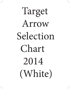# Target Arrow Selection Chart 2014 (White)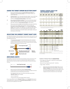# *USING THE TARGET ARROW SELECTION CHART*

- 1. Once you have determined your Correct Target Arrow Length and Calculated or Actual Peak Bow Weight, you are ready to select your correct shaft size:
- 1A. Compound bows. In the "Calculated Peak Bow Weight" column (left-hand side of the chart), select the column with the type cam on your bow. Locate your Calculated Peak Bow Weight in that column.
- 1B. Recurve Bows and Modern Longbows. In the "Actual Peak Bow Weight" column (right-hand side of the chart), select the column with the bow type. Next, locate your Actual Peak Bow Weight in that column.
- 2. Move across that bow-weight row horizontally to the column indicating your Correct Arrow Length. Note the letter in the box where your Calculated or Actual Peak Bow Weight row and Correct Target Arrow Length column intersect. The "Shaft Size" box below the chart with the same letter contains your recommended shaft sizes. Select a shaft from the chart factoring in the shaft material, shaft weight, and type of shooting you will be doing.

# *SELECTING THE CORRECT TARGET SHAFT SIZE*

Our Target Shaft Selection Chart will help you find the perfect shaft match for your bow—quickly and easily. Target Shaft Selection Charts are now available online at www.eastonarchery.com.

1. The Correct Arrow Length for bows (including bows with overdraws) is determined by drawing an extra-long arrow to full draw and having someone mark the arrow one inch in front of where the arrow contacts the most forward portion of the arrow rest.



# *BOW DRAW LENGTH*

Draw length is measured at full draw from the bottom of the nock groove to the back (far side) of the bow. Actual arrow length and draw length are only the same if the end of the arrow shaft is even with the back of the bow (far side) at full draw.



2. Determining Actual Peak Bow Weight–**Compound Bows** Compound bows must be measured at the peak bow weight as the bow is being drawn and not while letting the bow down.

> The suggested shaft sizes in the charts were determined using a **"Standard" Setup** which includes:

- Use of a release aid
- Compound bow with brace height greater than 6½"

If your setup differs from the **"Standard" Setup**, use the **Variables** (following) to make adjustments to determine the Calculated Peak Bow Weight so the correct arrow size can be selected on the chart.

### *CORRECT ARROW LENGTH FOR LOW POUNDAGE TARGET*

| 21"            | 55. | 23" | 24"       | 25"            | 26"       | 27"       | <b>RECURVE</b><br><b>BOW WEIGHT -LBS</b><br><b>FINGER RELEASE</b> |
|----------------|-----|-----|-----------|----------------|-----------|-----------|-------------------------------------------------------------------|
|                |     | Yl  | Yl        | Y2             | Y3        | γ4        | 16-20 lbs.<br>$(7.3 - 9.1 \text{ kg})$                            |
|                | Yl  | Y1  | Y2        | Y <sub>3</sub> | <b>Y4</b> | <b>Y5</b> | 20-24 lbs.<br>$(9.1 - 10.9 \text{ kg})$                           |
| Yl             | Yl  | Y2  | YЗ        | Y4             | Y5        | Y6        | 24-28 lbs.<br>$[10.9 - 12.7$ kg)                                  |
| Yl             | Y2  | Y3  | <b>Y4</b> | Y <sub>5</sub> | <b>Y6</b> | Y7        | 28-32 lbs.<br>$[12.7 - 14.5 \text{ kg}]$                          |
| Y2             | YЗ  | Y4  | Y5        | Y6             | Y7        |           | 32-36 lbs.<br>$[14.5 - 16.3 \text{ kg}]$                          |
| Y <sub>3</sub> | Y4  | Y5  | Y6        | Y7             |           |           | 36-40 lbs.<br>$[16.3 - 18.1$ kal                                  |

Note: If your arrow shaft is 1/2" inch more than the closest inch column shown on chart, round up to the next inch in colomn. Example, if your arrow length is 24-1/2", use the 25" column.

| SIZE      | <b>SPINE</b> | MODEL           | WEIGHT GRS/<br>INCH | SIZE     | <b>SPINE</b>                                             | MODEL           | WEIGHT<br><b>GRS/INCH</b> |
|-----------|--------------|-----------------|---------------------|----------|----------------------------------------------------------|-----------------|---------------------------|
|           |              | <b>GROUP Y1</b> |                     |          |                                                          | GROUPY2         |                           |
| 1214      | 2.501        | 75              | 5.9                 | 1413     | 2.036                                                    | 75              | 5.9                       |
|           |              | <b>GROUPY3</b>  |                     |          |                                                          | GROUP Y4        |                           |
| 1413      | 2.036        | 75              | 5.9                 | 1500     | 1.500                                                    | A/C/G           | 4.7                       |
| 1416      | 1.684        | 75              | 7.2                 | $2 - 00$ | 1.500                                                    | A/C/C           | 4.7                       |
|           |              |                 |                     | 1416     | 1.684                                                    | 75              | 7.2                       |
|           |              | <b>GROUP Y5</b> |                     |          |                                                          | <b>GROUP Y6</b> |                           |
| 1250      | 1.250        | A/C/E           | 5.1                 | 1250     | 1,250                                                    | A/C/E           | 5.1                       |
| 1300      | 1,300        | A/C/G           | 5.1                 | 1150     | 1,150                                                    | A/C/G           | 5.5                       |
| $31 - 00$ | 1.300        | A/C/C           | 5.1                 | $3 - 00$ | 1.150                                                    | A/C/C           | 5.5                       |
| 1200      | 1,200        | Apollo          | 5.5                 | 1150     | 1,150                                                    | Carbl           | 5.0                       |
| 1514      | 1.379        | X7              | 6.8                 | 1200     | 1,200                                                    | Apollo          | 5.5                       |
| 1516      | 1.403        | 75              | 7.3                 | 1516     | 1,403                                                    | 75              | 7.3                       |
|           |              |                 |                     | 1614     | 1.153                                                    | X7              | 7.7                       |
|           |              | <b>GROUP Y7</b> |                     |          |                                                          | <b>KEY</b>      |                           |
| 1000      | 1.000        | A/C/E           | 5.7                 | A/C/E    | Aluminum/Carbon/Extreme                                  |                 |                           |
| 1100      | 1.100        | A/C/E           | 5.1                 | XIO      | X10 Shafts (Aluminum/Carbon)                             |                 |                           |
| 1000      | 1.000        | XIO             | 5.3                 | A/C/G    | A/C/G (Aluminum/Carbon)                                  |                 |                           |
| 1000      | 1.000        | A/C/G           | 5.7                 | A/C/C    | Aluminum/Carbon/Composite                                |                 |                           |
| $3 - 00$  | 1.150        | A/C/C           | 5.5                 | Carbl    | Carbon One N-FUSED® Carbon                               |                 |                           |
| 1000      | 1.000        | <b>Carb1</b>    | 5.0                 | Apollo   | Carbon Apollo                                            |                 |                           |
| 1070      | 1.070        | Apollo          | 5.9                 | X7       | X7 Eclipse (7178 alloy), X27 & X23                       |                 |                           |
| 1614      | 1.153        | X7              | 7.7                 | 75       | XX75: Platinum Plus, Tribute, Jazz and NEOs (7075 alloy) |                 |                           |
| 1616      | 1.079        | 75              | 8.4                 |          |                                                          |                 |                           |

Note: To determine weight at your shaft length, multiply the grains-per-inch (gpi) by your actual shaft length not including point, insert or UNI bushing.

### **Variables to "Standard" Setup for** compound bows

- Point weight over 100 grains Add 3 lbs. for each 25 grains heavier than 100 grains.
- Bows with brace heights less than 6½" Add 5 lbs.
- Finger release Add 5 lbs.
- 3. **Determining Actual Peak Bow Weight—Recurve and Modern Longbows:** Your local archery pro shop is the best place to determine the actual draw weight of your bow. Actual Peak Bow Weight for recurve bows and longbows should be measured at your draw length.